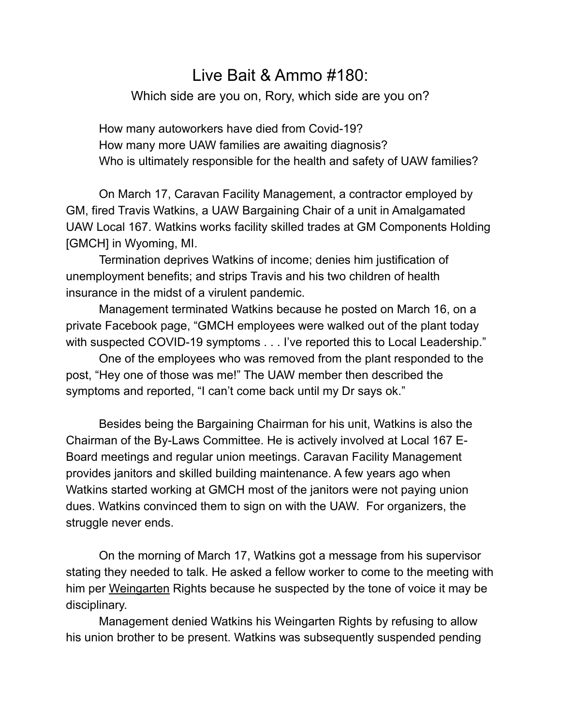## Live Bait & Ammo #180:

Which side are you on, Rory, which side are you on?

 How many autoworkers have died from Covid-19? How many more UAW families are awaiting diagnosis? Who is ultimately responsible for the health and safety of UAW families?

 On March 17, Caravan Facility Management, a contractor employed by GM, fired Travis Watkins, a UAW Bargaining Chair of a unit in Amalgamated UAW Local 167. Watkins works facility skilled trades at GM Components Holding [GMCH] in Wyoming, MI.

 Termination deprives Watkins of income; denies him justification of unemployment benefits; and strips Travis and his two children of health insurance in the midst of a virulent pandemic.

 Management terminated Watkins because he posted on March 16, on a private Facebook page, "GMCH employees were walked out of the plant today with suspected COVID-19 symptoms . . . I've reported this to Local Leadership."

 One of the employees who was removed from the plant responded to the post, "Hey one of those was me!" The UAW member then described the symptoms and reported, "I can't come back until my Dr says ok."

 Besides being the Bargaining Chairman for his unit, Watkins is also the Chairman of the By-Laws Committee. He is actively involved at Local 167 E-Board meetings and regular union meetings. Caravan Facility Management provides janitors and skilled building maintenance. A few years ago when Watkins started working at GMCH most of the janitors were not paying union dues. Watkins convinced them to sign on with the UAW. For organizers, the struggle never ends.

 On the morning of March 17, Watkins got a message from his supervisor stating they needed to talk. He asked a fellow worker to come to the meeting with him per [Weingarten](https://local128.org/sites/default/files/theweingartenrule.pdf) Rights because he suspected by the tone of voice it may be disciplinary.

 Management denied Watkins his Weingarten Rights by refusing to allow his union brother to be present. Watkins was subsequently suspended pending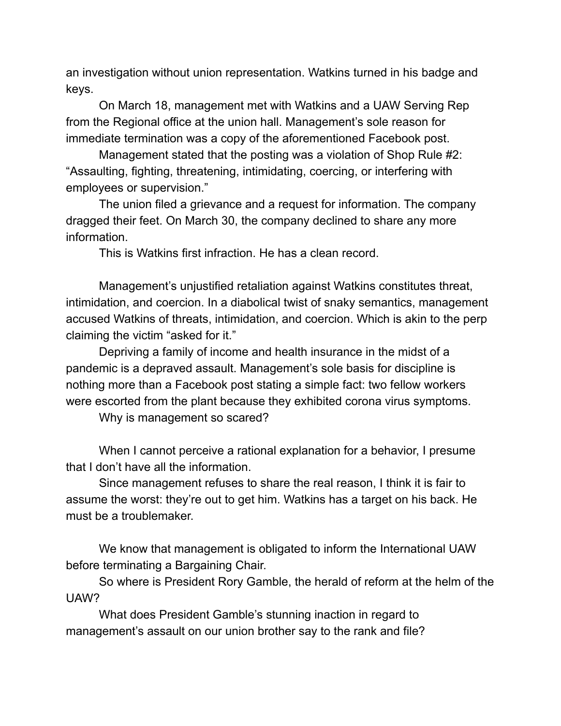an investigation without union representation. Watkins turned in his badge and keys.

 On March 18, management met with Watkins and a UAW Serving Rep from the Regional office at the union hall. Management's sole reason for immediate termination was a copy of the aforementioned Facebook post.

 Management stated that the posting was a violation of Shop Rule #2: "Assaulting, fighting, threatening, intimidating, coercing, or interfering with employees or supervision."

 The union filed a grievance and a request for information. The company dragged their feet. On March 30, the company declined to share any more information.

This is Watkins first infraction. He has a clean record.

 Management's unjustified retaliation against Watkins constitutes threat, intimidation, and coercion. In a diabolical twist of snaky semantics, management accused Watkins of threats, intimidation, and coercion. Which is akin to the perp claiming the victim "asked for it."

 Depriving a family of income and health insurance in the midst of a pandemic is a depraved assault. Management's sole basis for discipline is nothing more than a Facebook post stating a simple fact: two fellow workers were escorted from the plant because they exhibited corona virus symptoms.

Why is management so scared?

 When I cannot perceive a rational explanation for a behavior, I presume that I don't have all the information.

 Since management refuses to share the real reason, I think it is fair to assume the worst: they're out to get him. Watkins has a target on his back. He must be a troublemaker.

 We know that management is obligated to inform the International UAW before terminating a Bargaining Chair.

 So where is President Rory Gamble, the herald of reform at the helm of the UAW?

 What does President Gamble's stunning inaction in regard to management's assault on our union brother say to the rank and file?